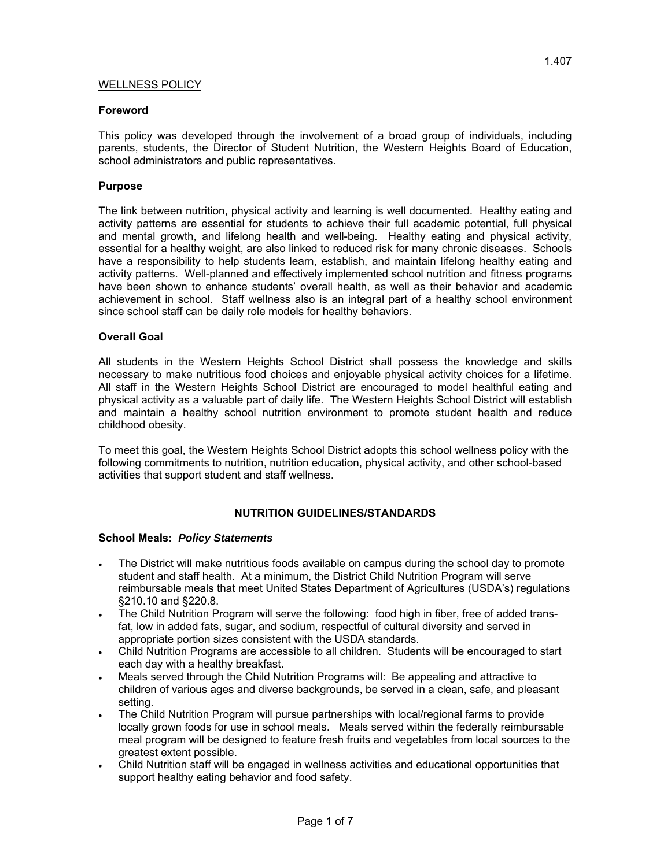### **Foreword**

This policy was developed through the involvement of a broad group of individuals, including parents, students, the Director of Student Nutrition, the Western Heights Board of Education, school administrators and public representatives.

### **Purpose**

The link between nutrition, physical activity and learning is well documented. Healthy eating and activity patterns are essential for students to achieve their full academic potential, full physical and mental growth, and lifelong health and well-being. Healthy eating and physical activity, essential for a healthy weight, are also linked to reduced risk for many chronic diseases. Schools have a responsibility to help students learn, establish, and maintain lifelong healthy eating and activity patterns. Well-planned and effectively implemented school nutrition and fitness programs have been shown to enhance students' overall health, as well as their behavior and academic achievement in school. Staff wellness also is an integral part of a healthy school environment since school staff can be daily role models for healthy behaviors.

## **Overall Goal**

All students in the Western Heights School District shall possess the knowledge and skills necessary to make nutritious food choices and enjoyable physical activity choices for a lifetime. All staff in the Western Heights School District are encouraged to model healthful eating and physical activity as a valuable part of daily life. The Western Heights School District will establish and maintain a healthy school nutrition environment to promote student health and reduce childhood obesity.

To meet this goal, the Western Heights School District adopts this school wellness policy with the following commitments to nutrition, nutrition education, physical activity, and other school-based activities that support student and staff wellness.

### **NUTRITION GUIDELINES/STANDARDS**

### **School Meals:** *Policy Statements*

- The District will make nutritious foods available on campus during the school day to promote student and staff health. At a minimum, the District Child Nutrition Program will serve reimbursable meals that meet United States Department of Agricultures (USDA's) regulations §210.10 and §220.8.
- The Child Nutrition Program will serve the following: food high in fiber, free of added transfat, low in added fats, sugar, and sodium, respectful of cultural diversity and served in appropriate portion sizes consistent with the USDA standards.
- Child Nutrition Programs are accessible to all children. Students will be encouraged to start each day with a healthy breakfast.
- Meals served through the Child Nutrition Programs will: Be appealing and attractive to children of various ages and diverse backgrounds, be served in a clean, safe, and pleasant setting.
- The Child Nutrition Program will pursue partnerships with local/regional farms to provide locally grown foods for use in school meals. Meals served within the federally reimbursable meal program will be designed to feature fresh fruits and vegetables from local sources to the greatest extent possible.
- Child Nutrition staff will be engaged in wellness activities and educational opportunities that support healthy eating behavior and food safety.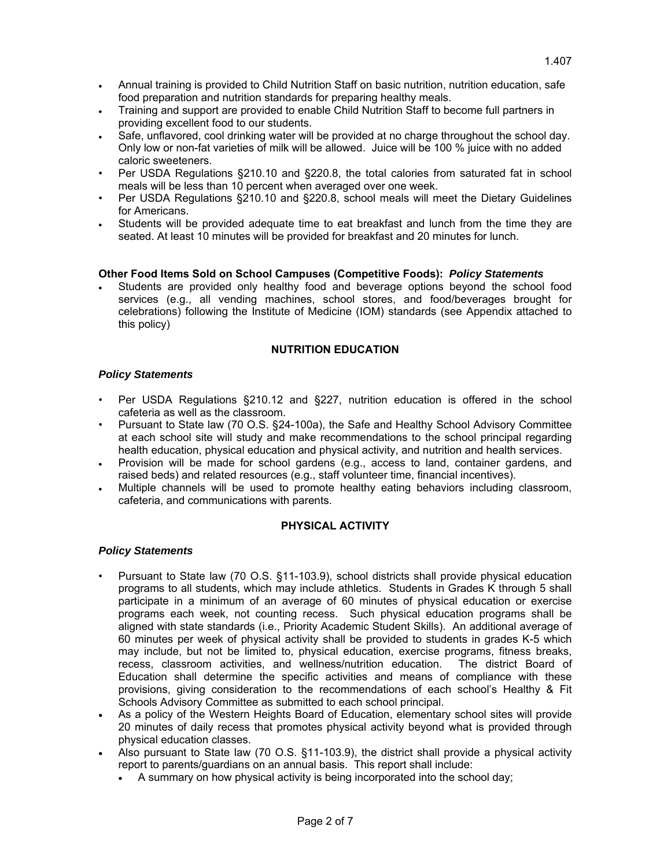- Annual training is provided to Child Nutrition Staff on basic nutrition, nutrition education, safe food preparation and nutrition standards for preparing healthy meals.
- Training and support are provided to enable Child Nutrition Staff to become full partners in providing excellent food to our students.
- Safe, unflavored, cool drinking water will be provided at no charge throughout the school day. Only low or non-fat varieties of milk will be allowed. Juice will be 100 % juice with no added caloric sweeteners.
- Per USDA Regulations §210.10 and §220.8, the total calories from saturated fat in school meals will be less than 10 percent when averaged over one week.
- Per USDA Regulations §210.10 and §220.8, school meals will meet the Dietary Guidelines for Americans.
- Students will be provided adequate time to eat breakfast and lunch from the time they are seated. At least 10 minutes will be provided for breakfast and 20 minutes for lunch.

## **Other Food Items Sold on School Campuses (Competitive Foods):** *Policy Statements*

 Students are provided only healthy food and beverage options beyond the school food services (e.g., all vending machines, school stores, and food/beverages brought for celebrations) following the Institute of Medicine (IOM) standards (see Appendix attached to this policy)

# **NUTRITION EDUCATION**

### *Policy Statements*

- Per USDA Regulations §210.12 and §227, nutrition education is offered in the school cafeteria as well as the classroom.
- Pursuant to State law (70 O.S. §24-100a), the Safe and Healthy School Advisory Committee at each school site will study and make recommendations to the school principal regarding health education, physical education and physical activity, and nutrition and health services.
- Provision will be made for school gardens (e.g., access to land, container gardens, and raised beds) and related resources (e.g., staff volunteer time, financial incentives).
- Multiple channels will be used to promote healthy eating behaviors including classroom, cafeteria, and communications with parents.

### **PHYSICAL ACTIVITY**

### *Policy Statements*

- Pursuant to State law (70 O.S. §11-103.9), school districts shall provide physical education programs to all students, which may include athletics. Students in Grades K through 5 shall participate in a minimum of an average of 60 minutes of physical education or exercise programs each week, not counting recess. Such physical education programs shall be aligned with state standards (i.e., Priority Academic Student Skills). An additional average of 60 minutes per week of physical activity shall be provided to students in grades K-5 which may include, but not be limited to, physical education, exercise programs, fitness breaks, recess, classroom activities, and wellness/nutrition education. The district Board of Education shall determine the specific activities and means of compliance with these provisions, giving consideration to the recommendations of each school's Healthy & Fit Schools Advisory Committee as submitted to each school principal.
- As a policy of the Western Heights Board of Education, elementary school sites will provide 20 minutes of daily recess that promotes physical activity beyond what is provided through physical education classes.
- Also pursuant to State law (70 O.S. §11-103.9), the district shall provide a physical activity report to parents/guardians on an annual basis. This report shall include:
	- A summary on how physical activity is being incorporated into the school day;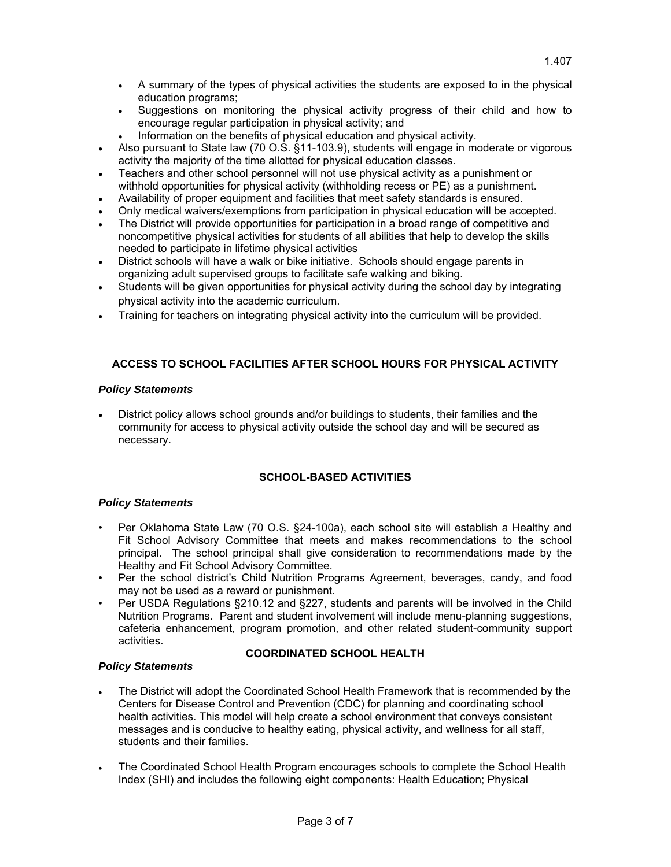- A summary of the types of physical activities the students are exposed to in the physical education programs;
- Suggestions on monitoring the physical activity progress of their child and how to encourage regular participation in physical activity; and
- Information on the benefits of physical education and physical activity.
- Also pursuant to State law (70 O.S. §11-103.9), students will engage in moderate or vigorous activity the majority of the time allotted for physical education classes.
- Teachers and other school personnel will not use physical activity as a punishment or withhold opportunities for physical activity (withholding recess or PE) as a punishment.
- Availability of proper equipment and facilities that meet safety standards is ensured.
- Only medical waivers/exemptions from participation in physical education will be accepted.
- The District will provide opportunities for participation in a broad range of competitive and noncompetitive physical activities for students of all abilities that help to develop the skills needed to participate in lifetime physical activities
- District schools will have a walk or bike initiative. Schools should engage parents in organizing adult supervised groups to facilitate safe walking and biking.
- Students will be given opportunities for physical activity during the school day by integrating physical activity into the academic curriculum.
- Training for teachers on integrating physical activity into the curriculum will be provided.

# **ACCESS TO SCHOOL FACILITIES AFTER SCHOOL HOURS FOR PHYSICAL ACTIVITY**

## *Policy Statements*

 District policy allows school grounds and/or buildings to students, their families and the community for access to physical activity outside the school day and will be secured as necessary.

## **SCHOOL-BASED ACTIVITIES**

## *Policy Statements*

*Policy Statements* 

- Per Oklahoma State Law (70 O.S. §24-100a), each school site will establish a Healthy and Fit School Advisory Committee that meets and makes recommendations to the school principal. The school principal shall give consideration to recommendations made by the Healthy and Fit School Advisory Committee.
- Per the school district's Child Nutrition Programs Agreement, beverages, candy, and food may not be used as a reward or punishment.
- Per USDA Regulations §210.12 and §227, students and parents will be involved in the Child Nutrition Programs. Parent and student involvement will include menu-planning suggestions, cafeteria enhancement, program promotion, and other related student-community support activities.

# **COORDINATED SCHOOL HEALTH**

- The District will adopt the Coordinated School Health Framework that is recommended by the Centers for Disease Control and Prevention (CDC) for planning and coordinating school health activities. This model will help create a school environment that conveys consistent messages and is conducive to healthy eating, physical activity, and wellness for all staff, students and their families.
- The Coordinated School Health Program encourages schools to complete the School Health Index (SHI) and includes the following eight components: Health Education; Physical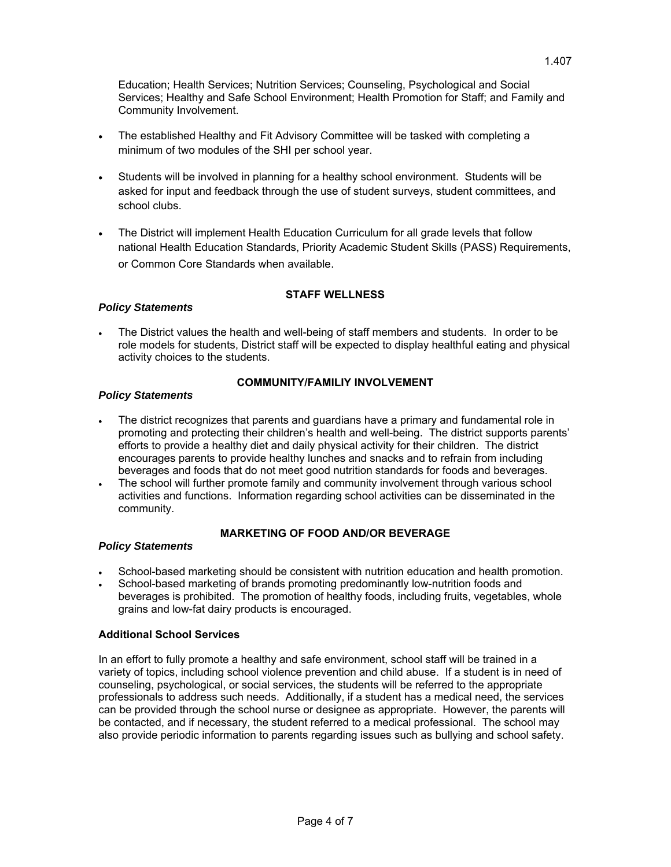1.407

Education; Health Services; Nutrition Services; Counseling, Psychological and Social Services; Healthy and Safe School Environment; Health Promotion for Staff; and Family and Community Involvement.

- The established Healthy and Fit Advisory Committee will be tasked with completing a minimum of two modules of the SHI per school year.
- Students will be involved in planning for a healthy school environment. Students will be asked for input and feedback through the use of student surveys, student committees, and school clubs.
- The District will implement Health Education Curriculum for all grade levels that follow national Health Education Standards, Priority Academic Student Skills (PASS) Requirements, or Common Core Standards when available.

# **STAFF WELLNESS**

# *Policy Statements*

 The District values the health and well-being of staff members and students. In order to be role models for students, District staff will be expected to display healthful eating and physical activity choices to the students.

# *Policy Statements*

# **COMMUNITY/FAMILIY INVOLVEMENT**

- The district recognizes that parents and guardians have a primary and fundamental role in promoting and protecting their children's health and well-being. The district supports parents' efforts to provide a healthy diet and daily physical activity for their children. The district encourages parents to provide healthy lunches and snacks and to refrain from including beverages and foods that do not meet good nutrition standards for foods and beverages.
- The school will further promote family and community involvement through various school activities and functions. Information regarding school activities can be disseminated in the community.

# **MARKETING OF FOOD AND/OR BEVERAGE**

# *Policy Statements*

- School-based marketing should be consistent with nutrition education and health promotion.
- School-based marketing of brands promoting predominantly low-nutrition foods and beverages is prohibited. The promotion of healthy foods, including fruits, vegetables, whole grains and low-fat dairy products is encouraged.

## **Additional School Services**

In an effort to fully promote a healthy and safe environment, school staff will be trained in a variety of topics, including school violence prevention and child abuse. If a student is in need of counseling, psychological, or social services, the students will be referred to the appropriate professionals to address such needs. Additionally, if a student has a medical need, the services can be provided through the school nurse or designee as appropriate. However, the parents will be contacted, and if necessary, the student referred to a medical professional. The school may also provide periodic information to parents regarding issues such as bullying and school safety.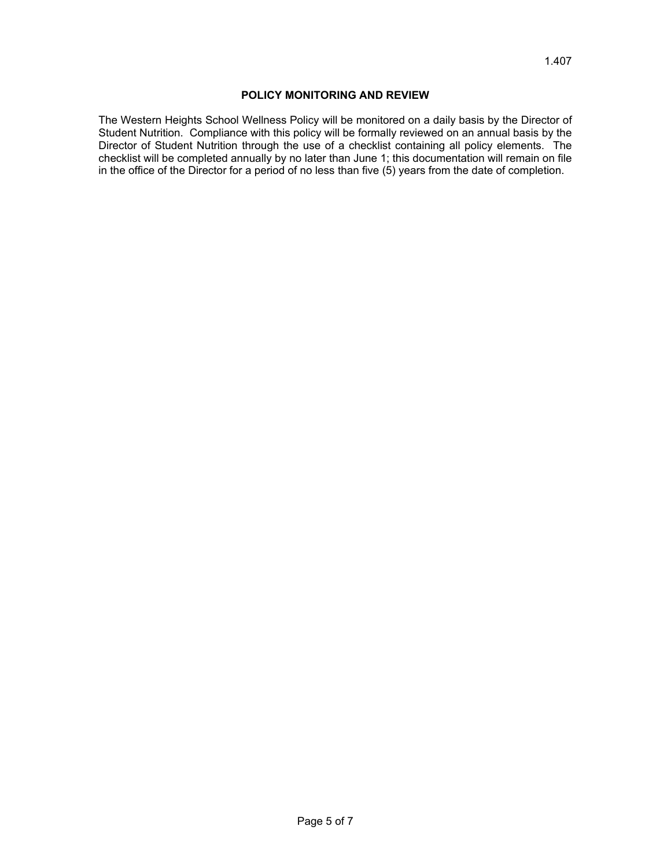### **POLICY MONITORING AND REVIEW**

The Western Heights School Wellness Policy will be monitored on a daily basis by the Director of Student Nutrition. Compliance with this policy will be formally reviewed on an annual basis by the Director of Student Nutrition through the use of a checklist containing all policy elements. The checklist will be completed annually by no later than June 1; this documentation will remain on file in the office of the Director for a period of no less than five (5) years from the date of completion.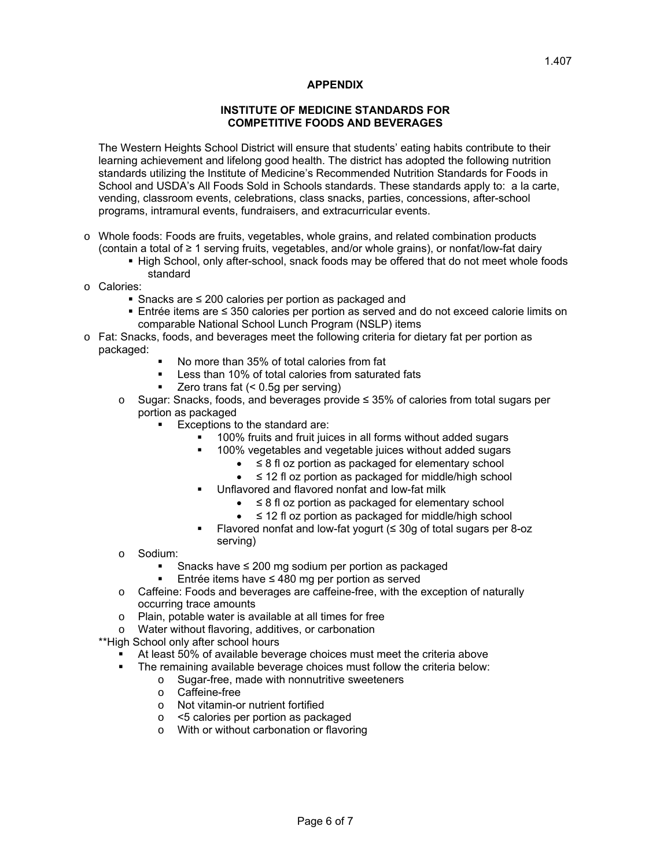### **APPENDIX**

#### **INSTITUTE OF MEDICINE STANDARDS FOR COMPETITIVE FOODS AND BEVERAGES**

The Western Heights School District will ensure that students' eating habits contribute to their learning achievement and lifelong good health. The district has adopted the following nutrition standards utilizing the Institute of Medicine's Recommended Nutrition Standards for Foods in School and USDA's All Foods Sold in Schools standards. These standards apply to: a la carte, vending, classroom events, celebrations, class snacks, parties, concessions, after-school programs, intramural events, fundraisers, and extracurricular events.

- o Whole foods: Foods are fruits, vegetables, whole grains, and related combination products (contain a total of ≥ 1 serving fruits, vegetables, and/or whole grains), or nonfat/low-fat dairy
	- **High School, only after-school, snack foods may be offered that do not meet whole foods** standard
- o Calories:
	- Snacks are ≤ 200 calories per portion as packaged and
	- Entrée items are ≤ 350 calories per portion as served and do not exceed calorie limits on comparable National School Lunch Program (NSLP) items
- o Fat: Snacks, foods, and beverages meet the following criteria for dietary fat per portion as packaged:
	- No more than 35% of total calories from fat
	- Less than 10% of total calories from saturated fats
	- Zero trans fat (< 0.5g per serving)
	- o Sugar: Snacks, foods, and beverages provide ≤ 35% of calories from total sugars per portion as packaged
		- Exceptions to the standard are:
			- 100% fruits and fruit juices in all forms without added sugars
				- 100% vegetables and vegetable juices without added sugars
					- ≤ 8 fl oz portion as packaged for elementary school
					- ≤ 12 fl oz portion as packaged for middle/high school
			- Unflavored and flavored nonfat and low-fat milk
				- ≤ 8 fl oz portion as packaged for elementary school
				- ≤ 12 fl oz portion as packaged for middle/high school
			- Flavored nonfat and low-fat yogurt  $(≤ 30g)$  of total sugars per 8-oz serving)
	- o Sodium:
		- Snacks have ≤ 200 mg sodium per portion as packaged
		- Entrée items have ≤ 480 mg per portion as served
	- o Caffeine: Foods and beverages are caffeine-free, with the exception of naturally occurring trace amounts
	- o Plain, potable water is available at all times for free
	- o Water without flavoring, additives, or carbonation

\*\*High School only after school hours

- At least 50% of available beverage choices must meet the criteria above
- **The remaining available beverage choices must follow the criteria below:** 
	- o Sugar-free, made with nonnutritive sweeteners
		- o Caffeine-free<br>
		o Not vitamin-o
		- Not vitamin-or nutrient fortified
		- o <5 calories per portion as packaged
		- o With or without carbonation or flavoring